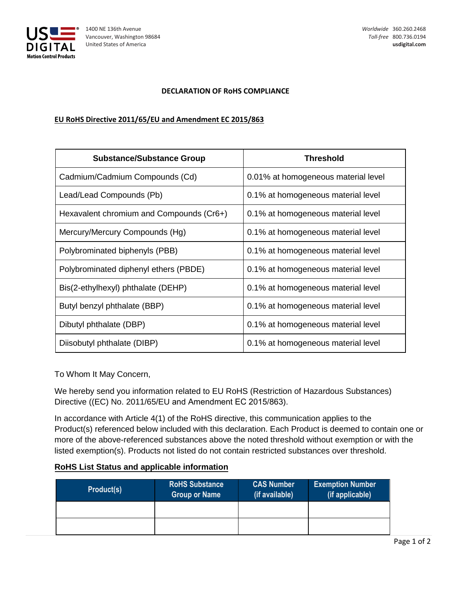

## **DECLARATION OF RoHS COMPLIANCE**

## **EU RoHS Directive 2011/65/EU and Amendment EC 2015/863**

| <b>Substance/Substance Group</b>         | <b>Threshold</b>                    |
|------------------------------------------|-------------------------------------|
| Cadmium/Cadmium Compounds (Cd)           | 0.01% at homogeneous material level |
| Lead/Lead Compounds (Pb)                 | 0.1% at homogeneous material level  |
| Hexavalent chromium and Compounds (Cr6+) | 0.1% at homogeneous material level  |
| Mercury/Mercury Compounds (Hg)           | 0.1% at homogeneous material level  |
| Polybrominated biphenyls (PBB)           | 0.1% at homogeneous material level  |
| Polybrominated diphenyl ethers (PBDE)    | 0.1% at homogeneous material level  |
| Bis(2-ethylhexyl) phthalate (DEHP)       | 0.1% at homogeneous material level  |
| Butyl benzyl phthalate (BBP)             | 0.1% at homogeneous material level  |
| Dibutyl phthalate (DBP)                  | 0.1% at homogeneous material level  |
| Diisobutyl phthalate (DIBP)              | 0.1% at homogeneous material level  |

To Whom It May Concern,

We hereby send you information related to EU RoHS (Restriction of Hazardous Substances) Directive ((EC) No. 2011/65/EU and Amendment EC 2015/863).

In accordance with Article 4(1) of the RoHS directive, this communication applies to the Product(s) referenced below included with this declaration. Each Product is deemed to contain one or more of the above-referenced substances above the noted threshold without exemption or with the listed exemption(s). Products not listed do not contain restricted substances over threshold.

## **RoHS List Status and applicable information**

| Product(s) | <b>RoHS Substance</b><br><b>Group or Name</b> | <b>CAS Number</b><br>(if available) | <b>Exemption Number</b><br>(if applicable) |
|------------|-----------------------------------------------|-------------------------------------|--------------------------------------------|
|            |                                               |                                     |                                            |
|            |                                               |                                     |                                            |